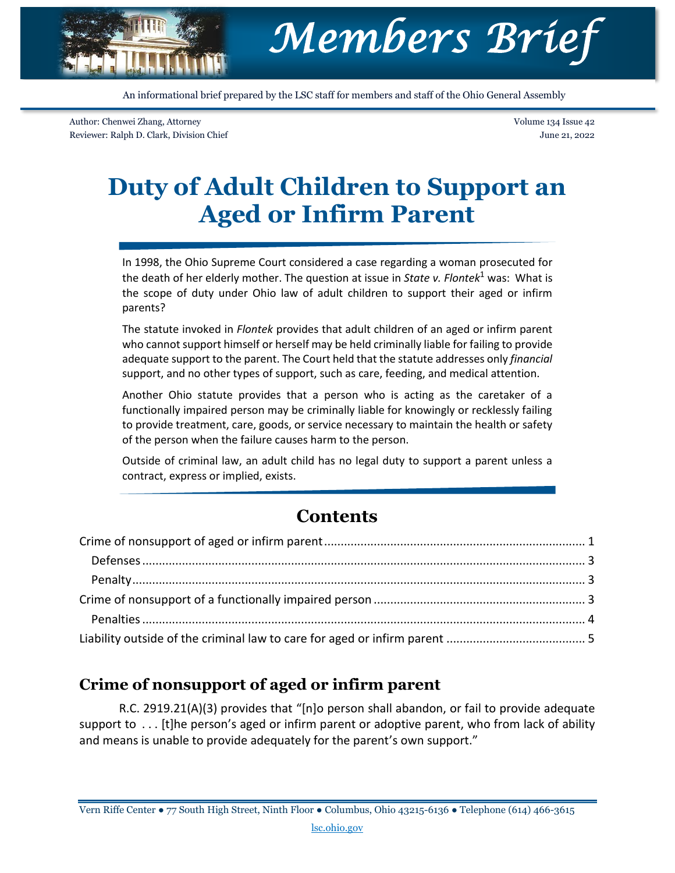

An informational brief prepared by the LSC staff for members and staff of the Ohio General Assembly

Author: Chenwei Zhang, Attorney Reviewer: Ralph D. Clark, Division Chief Volume 134 Issue 42 June 21, 2022

# **Duty of Adult Children to Support an Aged or Infirm Parent**

In 1998, the Ohio Supreme Court considered a case regarding a woman prosecuted for the death of her elderly mother. The question at issue in *State v. Flontek*<sup>1</sup> was: What is the scope of duty under Ohio law of adult children to support their aged or infirm parents?

The statute invoked in *Flontek* provides that adult children of an aged or infirm parent who cannot support himself or herself may be held criminally liable for failing to provide adequate support to the parent. The Court held that the statute addresses only *financial* support, and no other types of support, such as care, feeding, and medical attention.

Another Ohio statute provides that a person who is acting as the caretaker of a functionally impaired person may be criminally liable for knowingly or recklessly failing to provide treatment, care, goods, or service necessary to maintain the health or safety of the person when the failure causes harm to the person.

Outside of criminal law, an adult child has no legal duty to support a parent unless a contract, express or implied, exists.

## **Contents**

### <span id="page-0-0"></span>**Crime of nonsupport of aged or infirm parent**

R.C. 2919.21(A)(3) provides that "[n]o person shall abandon, or fail to provide adequate support to ... [t]he person's aged or infirm parent or adoptive parent, who from lack of ability and means is unable to provide adequately for the parent's own support."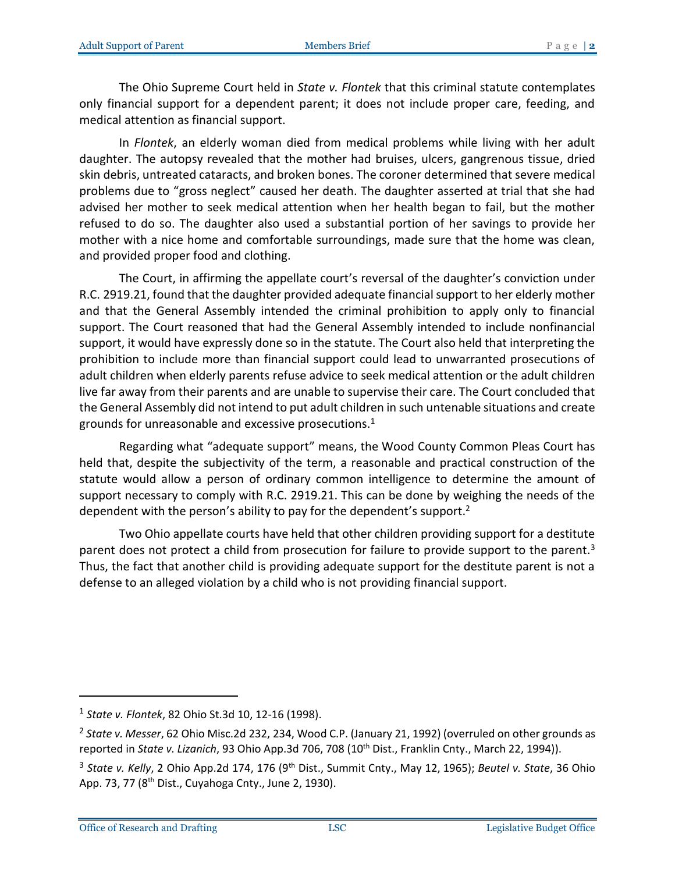The Ohio Supreme Court held in *State v. Flontek* that this criminal statute contemplates only financial support for a dependent parent; it does not include proper care, feeding, and medical attention as financial support.

In *Flontek*, an elderly woman died from medical problems while living with her adult daughter. The autopsy revealed that the mother had bruises, ulcers, gangrenous tissue, dried skin debris, untreated cataracts, and broken bones. The coroner determined that severe medical problems due to "gross neglect" caused her death. The daughter asserted at trial that she had advised her mother to seek medical attention when her health began to fail, but the mother refused to do so. The daughter also used a substantial portion of her savings to provide her mother with a nice home and comfortable surroundings, made sure that the home was clean, and provided proper food and clothing.

The Court, in affirming the appellate court's reversal of the daughter's conviction under R.C. 2919.21, found that the daughter provided adequate financial support to her elderly mother and that the General Assembly intended the criminal prohibition to apply only to financial support. The Court reasoned that had the General Assembly intended to include nonfinancial support, it would have expressly done so in the statute. The Court also held that interpreting the prohibition to include more than financial support could lead to unwarranted prosecutions of adult children when elderly parents refuse advice to seek medical attention or the adult children live far away from their parents and are unable to supervise their care. The Court concluded that the General Assembly did not intend to put adult children in such untenable situations and create grounds for unreasonable and excessive prosecutions. $1$ 

Regarding what "adequate support" means, the Wood County Common Pleas Court has held that, despite the subjectivity of the term, a reasonable and practical construction of the statute would allow a person of ordinary common intelligence to determine the amount of support necessary to comply with R.C. 2919.21. This can be done by weighing the needs of the dependent with the person's ability to pay for the dependent's support.<sup>2</sup>

Two Ohio appellate courts have held that other children providing support for a destitute parent does not protect a child from prosecution for failure to provide support to the parent.<sup>3</sup> Thus, the fact that another child is providing adequate support for the destitute parent is not a defense to an alleged violation by a child who is not providing financial support.

 $\overline{a}$ 

<sup>1</sup> *State v. Flontek*, 82 Ohio St.3d 10, 12-16 (1998).

<sup>2</sup> *State v. Messer*, 62 Ohio Misc.2d 232, 234, Wood C.P. (January 21, 1992) (overruled on other grounds as reported in *State v. Lizanich*, 93 Ohio App.3d 706, 708 (10<sup>th</sup> Dist., Franklin Cnty., March 22, 1994)).

<sup>&</sup>lt;sup>3</sup> State v. Kelly, 2 Ohio App.2d 174, 176 (9<sup>th</sup> Dist., Summit Cnty., May 12, 1965); *Beutel v. State*, 36 Ohio App. 73, 77 (8<sup>th</sup> Dist., Cuyahoga Cnty., June 2, 1930).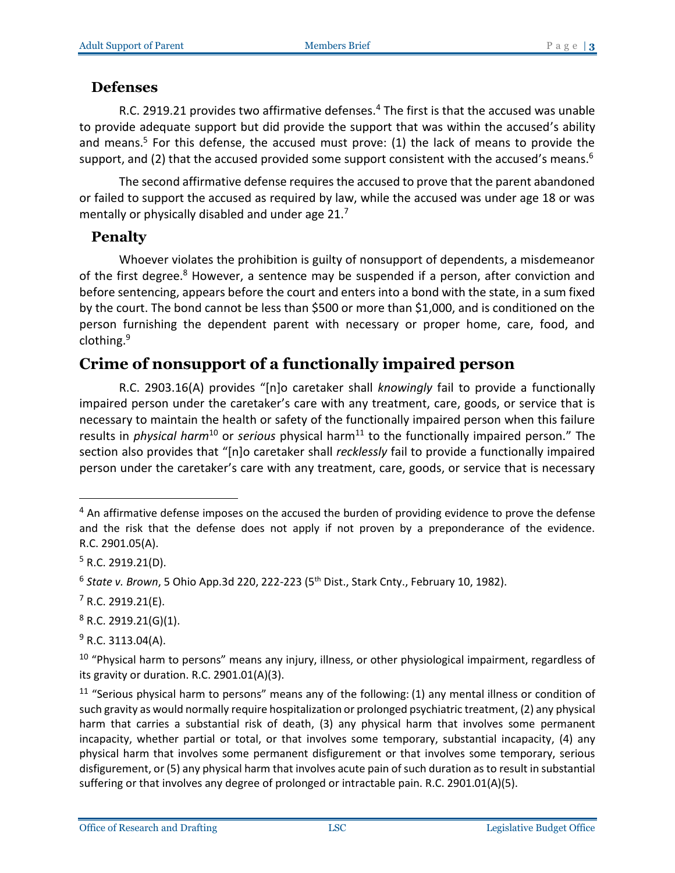#### <span id="page-2-0"></span>**Defenses**

R.C. 2919.21 provides two affirmative defenses.<sup>4</sup> The first is that the accused was unable to provide adequate support but did provide the support that was within the accused's ability and means.<sup>5</sup> For this defense, the accused must prove: (1) the lack of means to provide the support, and (2) that the accused provided some support consistent with the accused's means.<sup>6</sup>

The second affirmative defense requires the accused to prove that the parent abandoned or failed to support the accused as required by law, while the accused was under age 18 or was mentally or physically disabled and under age 21.<sup>7</sup>

#### <span id="page-2-1"></span>**Penalty**

Whoever violates the prohibition is guilty of nonsupport of dependents, a misdemeanor of the first degree.<sup>8</sup> However, a sentence may be suspended if a person, after conviction and before sentencing, appears before the court and enters into a bond with the state, in a sum fixed by the court. The bond cannot be less than \$500 or more than \$1,000, and is conditioned on the person furnishing the dependent parent with necessary or proper home, care, food, and clothing.<sup>9</sup>

# <span id="page-2-2"></span>**Crime of nonsupport of a functionally impaired person**

R.C. 2903.16(A) provides "[n]o caretaker shall *knowingly* fail to provide a functionally impaired person under the caretaker's care with any treatment, care, goods, or service that is necessary to maintain the health or safety of the functionally impaired person when this failure results in *physical harm*<sup>10</sup> or *serious* physical harm<sup>11</sup> to the functionally impaired person." The section also provides that "[n]o caretaker shall *recklessly* fail to provide a functionally impaired person under the caretaker's care with any treatment, care, goods, or service that is necessary

 $\overline{a}$ 

 $9$  R.C. 3113.04(A).

 $4$  An affirmative defense imposes on the accused the burden of providing evidence to prove the defense and the risk that the defense does not apply if not proven by a preponderance of the evidence. R.C. 2901.05(A).

 $5$  R.C. 2919.21(D).

<sup>&</sup>lt;sup>6</sup> State v. Brown, 5 Ohio App.3d 220, 222-223 (5<sup>th</sup> Dist., Stark Cnty., February 10, 1982).

 $7$  R.C. 2919.21(E).

 $8$  R.C. 2919.21(G)(1).

<sup>&</sup>lt;sup>10</sup> "Physical harm to persons" means any injury, illness, or other physiological impairment, regardless of its gravity or duration. R.C. 2901.01(A)(3).

<sup>&</sup>lt;sup>11</sup> "Serious physical harm to persons" means any of the following: (1) any mental illness or condition of such gravity as would normally require hospitalization or prolonged psychiatric treatment, (2) any physical harm that carries a substantial risk of death, (3) any physical harm that involves some permanent incapacity, whether partial or total, or that involves some temporary, substantial incapacity, (4) any physical harm that involves some permanent disfigurement or that involves some temporary, serious disfigurement, or (5) any physical harm that involves acute pain of such duration as to result in substantial suffering or that involves any degree of prolonged or intractable pain. R.C. 2901.01(A)(5).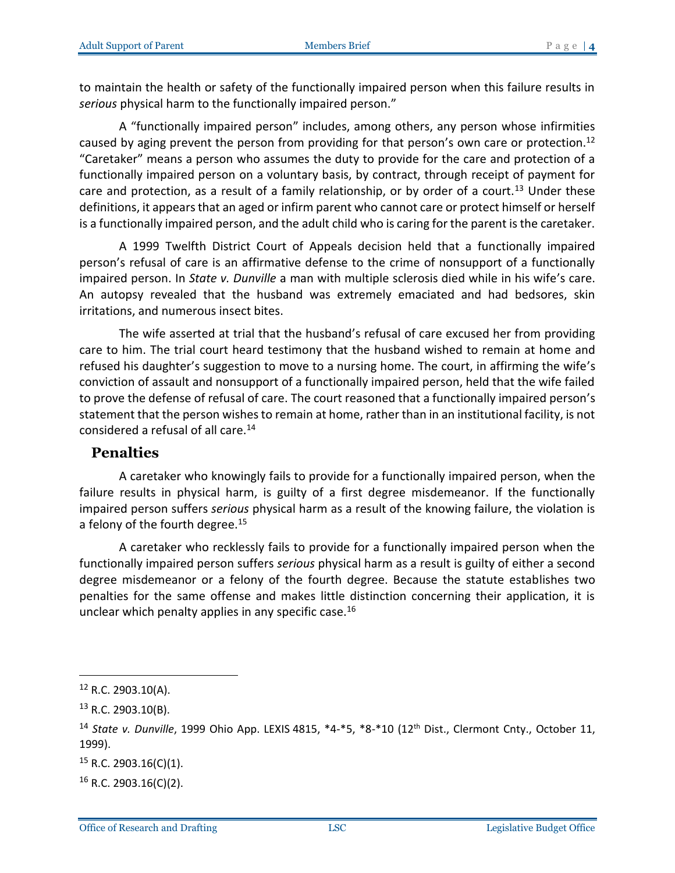to maintain the health or safety of the functionally impaired person when this failure results in *serious* physical harm to the functionally impaired person."

A "functionally impaired person" includes, among others, any person whose infirmities caused by aging prevent the person from providing for that person's own care or protection.<sup>12</sup> "Caretaker" means a person who assumes the duty to provide for the care and protection of a functionally impaired person on a voluntary basis, by contract, through receipt of payment for care and protection, as a result of a family relationship, or by order of a court.<sup>13</sup> Under these definitions, it appears that an aged or infirm parent who cannot care or protect himself or herself is a functionally impaired person, and the adult child who is caring for the parent is the caretaker.

A 1999 Twelfth District Court of Appeals decision held that a functionally impaired person's refusal of care is an affirmative defense to the crime of nonsupport of a functionally impaired person. In *State v. Dunville* a man with multiple sclerosis died while in his wife's care. An autopsy revealed that the husband was extremely emaciated and had bedsores, skin irritations, and numerous insect bites.

The wife asserted at trial that the husband's refusal of care excused her from providing care to him. The trial court heard testimony that the husband wished to remain at home and refused his daughter's suggestion to move to a nursing home. The court, in affirming the wife's conviction of assault and nonsupport of a functionally impaired person, held that the wife failed to prove the defense of refusal of care. The court reasoned that a functionally impaired person's statement that the person wishes to remain at home, rather than in an institutional facility, is not considered a refusal of all care.<sup>14</sup>

#### <span id="page-3-0"></span>**Penalties**

A caretaker who knowingly fails to provide for a functionally impaired person, when the failure results in physical harm, is guilty of a first degree misdemeanor. If the functionally impaired person suffers *serious* physical harm as a result of the knowing failure, the violation is a felony of the fourth degree.<sup>15</sup>

A caretaker who recklessly fails to provide for a functionally impaired person when the functionally impaired person suffers *serious* physical harm as a result is guilty of either a second degree misdemeanor or a felony of the fourth degree. Because the statute establishes two penalties for the same offense and makes little distinction concerning their application, it is unclear which penalty applies in any specific case.<sup>16</sup>

 $\overline{a}$ 

 $15$  R.C. 2903.16(C)(1).

 $16$  R.C. 2903.16(C)(2).

 $12$  R.C. 2903.10(A).

 $13$  R.C. 2903.10(B).

<sup>&</sup>lt;sup>14</sup> *State v. Dunville*, 1999 Ohio App. LEXIS 4815, \*4-\*5, \*8-\*10 (12<sup>th</sup> Dist., Clermont Cnty., October 11, 1999).